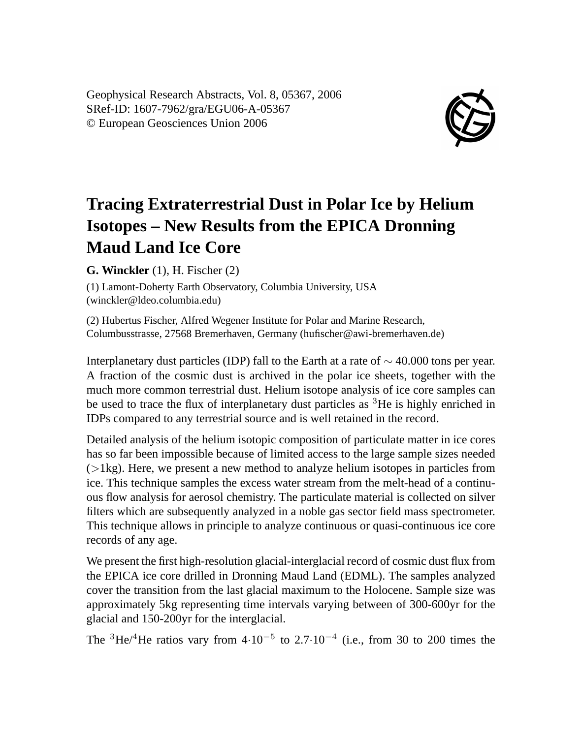Geophysical Research Abstracts, Vol. 8, 05367, 2006 SRef-ID: 1607-7962/gra/EGU06-A-05367 © European Geosciences Union 2006



## **Tracing Extraterrestrial Dust in Polar Ice by Helium Isotopes – New Results from the EPICA Dronning Maud Land Ice Core**

**G. Winckler** (1), H. Fischer (2)

(1) Lamont-Doherty Earth Observatory, Columbia University, USA (winckler@ldeo.columbia.edu)

(2) Hubertus Fischer, Alfred Wegener Institute for Polar and Marine Research, Columbusstrasse, 27568 Bremerhaven, Germany (hufischer@awi-bremerhaven.de)

Interplanetary dust particles (IDP) fall to the Earth at a rate of  $\sim$  40.000 tons per year. A fraction of the cosmic dust is archived in the polar ice sheets, together with the much more common terrestrial dust. Helium isotope analysis of ice core samples can be used to trace the flux of interplanetary dust particles as <sup>3</sup>He is highly enriched in IDPs compared to any terrestrial source and is well retained in the record.

Detailed analysis of the helium isotopic composition of particulate matter in ice cores has so far been impossible because of limited access to the large sample sizes needed  $(>\vert \xi \rangle)$ . Here, we present a new method to analyze helium isotopes in particles from ice. This technique samples the excess water stream from the melt-head of a continuous flow analysis for aerosol chemistry. The particulate material is collected on silver filters which are subsequently analyzed in a noble gas sector field mass spectrometer. This technique allows in principle to analyze continuous or quasi-continuous ice core records of any age.

We present the first high-resolution glacial-interglacial record of cosmic dust flux from the EPICA ice core drilled in Dronning Maud Land (EDML). The samples analyzed cover the transition from the last glacial maximum to the Holocene. Sample size was approximately 5kg representing time intervals varying between of 300-600yr for the glacial and 150-200yr for the interglacial.

The <sup>3</sup>He/<sup>4</sup>He ratios vary from  $4·10^{-5}$  to  $2.7·10^{-4}$  (i.e., from 30 to 200 times the